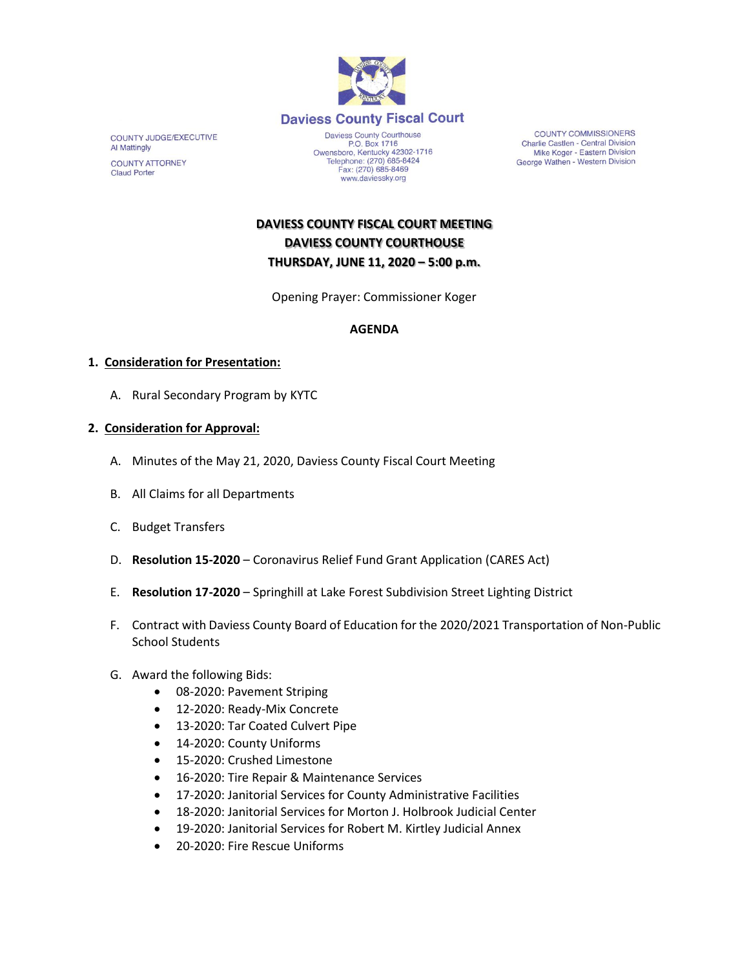

**COUNTY JUDGE/EXECUTIVE Al Mattingly COUNTY ATTORNEY Claud Porter** 

Daviess County Courthouse<br>P.O. Box 1716 P.O. Box 1716<br>
Owensboro, Kentucky 42302-1716<br>
Telephone: (270) 685-8424<br>
Fax: (270) 685-8469 www.daviessky.org

**COUNTY COMMISSIONERS** Charlie Castlen - Central Division Mike Koger - Eastern Division George Wathen - Western Division

**DAVIESS COUNTY FISCAL COURT MEETING DAVIESS COUNTY COURTHOUSE THURSDAY, JUNE 11, 2020 – 5:00 p.m.** 

Opening Prayer: Commissioner Koger

# **AGENDA**

### **1. Consideration for Presentation:**

A. Rural Secondary Program by KYTC

### **2. Consideration for Approval:**

- A. Minutes of the May 21, 2020, Daviess County Fiscal Court Meeting
- B. All Claims for all Departments
- C. Budget Transfers
- D. **Resolution 15-2020** Coronavirus Relief Fund Grant Application (CARES Act)
- E. **Resolution 17-2020** Springhill at Lake Forest Subdivision Street Lighting District
- F. Contract with Daviess County Board of Education for the 2020/2021 Transportation of Non-Public School Students
- G. Award the following Bids:
	- 08-2020: Pavement Striping
	- 12-2020: Ready-Mix Concrete
	- 13-2020: Tar Coated Culvert Pipe
	- 14-2020: County Uniforms
	- 15-2020: Crushed Limestone
	- 16-2020: Tire Repair & Maintenance Services
	- 17-2020: Janitorial Services for County Administrative Facilities
	- 18-2020: Janitorial Services for Morton J. Holbrook Judicial Center
	- 19-2020: Janitorial Services for Robert M. Kirtley Judicial Annex
	- 20-2020: Fire Rescue Uniforms